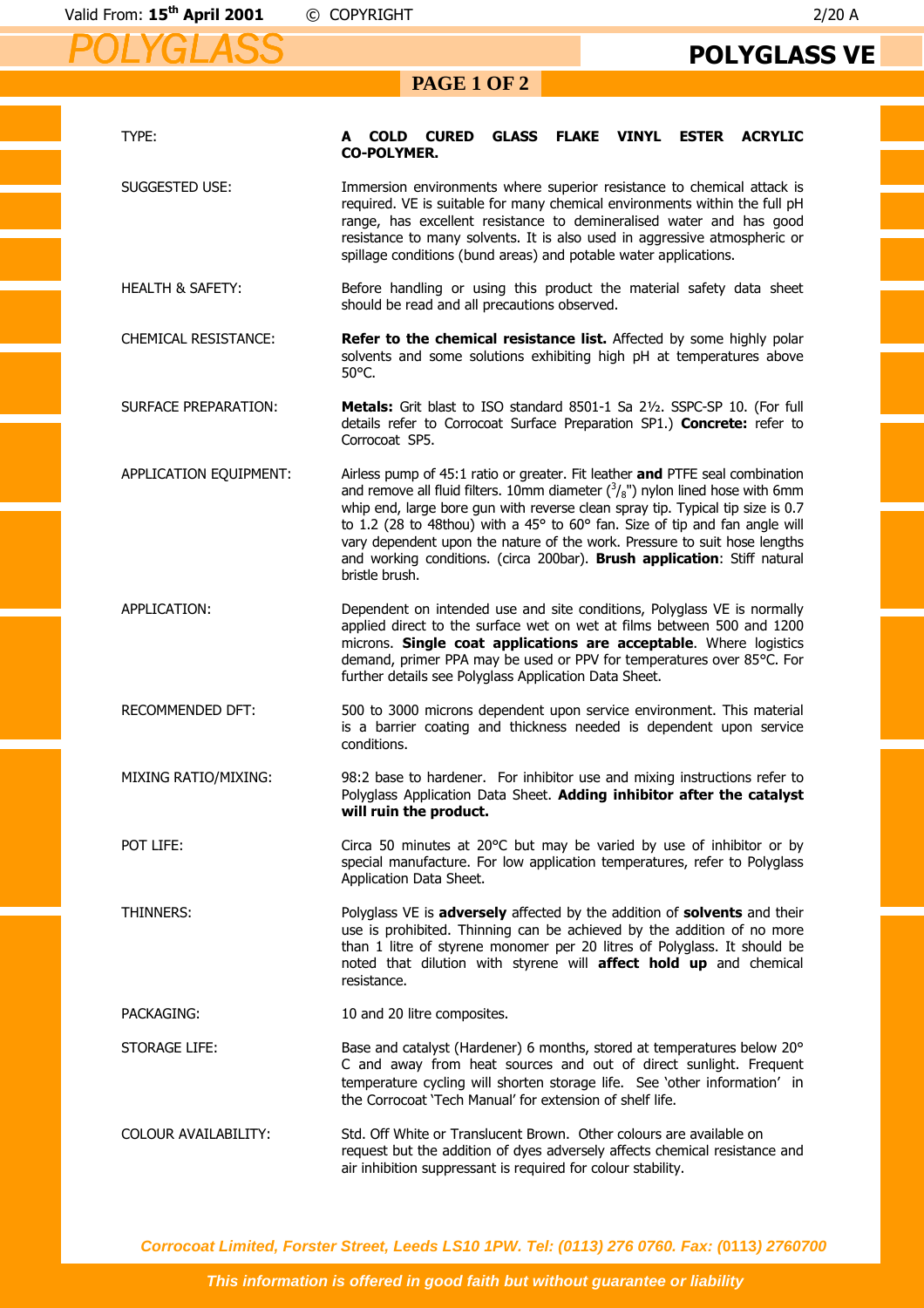## **PAGE 1 OF 2**

| TYPE:                       | <b>CURED</b><br><b>GLASS FLAKE VINYL</b><br><b>ESTER</b><br><b>ACRYLIC</b><br><b>COLD</b><br>A<br><b>CO-POLYMER.</b>                                                                                                                                                                                                                                                                                                                                                                                              |
|-----------------------------|-------------------------------------------------------------------------------------------------------------------------------------------------------------------------------------------------------------------------------------------------------------------------------------------------------------------------------------------------------------------------------------------------------------------------------------------------------------------------------------------------------------------|
| SUGGESTED USE:              | Immersion environments where superior resistance to chemical attack is<br>required. VE is suitable for many chemical environments within the full pH<br>range, has excellent resistance to demineralised water and has good<br>resistance to many solvents. It is also used in aggressive atmospheric or<br>spillage conditions (bund areas) and potable water applications.                                                                                                                                      |
| <b>HEALTH &amp; SAFETY:</b> | Before handling or using this product the material safety data sheet<br>should be read and all precautions observed.                                                                                                                                                                                                                                                                                                                                                                                              |
| <b>CHEMICAL RESISTANCE:</b> | Refer to the chemical resistance list. Affected by some highly polar<br>solvents and some solutions exhibiting high pH at temperatures above<br>50°C.                                                                                                                                                                                                                                                                                                                                                             |
| <b>SURFACE PREPARATION:</b> | Metals: Grit blast to ISO standard 8501-1 Sa 21/2. SSPC-SP 10. (For full<br>details refer to Corrocoat Surface Preparation SP1.) Concrete: refer to<br>Corrocoat SP5.                                                                                                                                                                                                                                                                                                                                             |
| APPLICATION EQUIPMENT:      | Airless pump of 45:1 ratio or greater. Fit leather and PTFE seal combination<br>and remove all fluid filters. 10mm diameter $({}^3/_{8}$ ") nylon lined hose with 6mm<br>whip end, large bore gun with reverse clean spray tip. Typical tip size is 0.7<br>to 1.2 (28 to 48thou) with a 45° to 60° fan. Size of tip and fan angle will<br>vary dependent upon the nature of the work. Pressure to suit hose lengths<br>and working conditions. (circa 200bar). Brush application: Stiff natural<br>bristle brush. |
| APPLICATION:                | Dependent on intended use and site conditions, Polyglass VE is normally<br>applied direct to the surface wet on wet at films between 500 and 1200<br>microns. Single coat applications are acceptable. Where logistics<br>demand, primer PPA may be used or PPV for temperatures over 85°C. For<br>further details see Polyglass Application Data Sheet.                                                                                                                                                          |
| <b>RECOMMENDED DFT:</b>     | 500 to 3000 microns dependent upon service environment. This material<br>is a barrier coating and thickness needed is dependent upon service<br>conditions.                                                                                                                                                                                                                                                                                                                                                       |
| MIXING RATIO/MIXING:        | 98:2 base to hardener. For inhibitor use and mixing instructions refer to<br>Polyglass Application Data Sheet. Adding inhibitor after the catalyst<br>will ruin the product.                                                                                                                                                                                                                                                                                                                                      |
| POT LIFE:                   | Circa 50 minutes at 20°C but may be varied by use of inhibitor or by<br>special manufacture. For low application temperatures, refer to Polyglass<br>Application Data Sheet.                                                                                                                                                                                                                                                                                                                                      |
| <b>THINNERS:</b>            | Polyglass VE is adversely affected by the addition of solvents and their<br>use is prohibited. Thinning can be achieved by the addition of no more<br>than 1 litre of styrene monomer per 20 litres of Polyglass. It should be<br>noted that dilution with styrene will affect hold up and chemical<br>resistance.                                                                                                                                                                                                |
| PACKAGING:                  | 10 and 20 litre composites.                                                                                                                                                                                                                                                                                                                                                                                                                                                                                       |
| STORAGE LIFE:               | Base and catalyst (Hardener) 6 months, stored at temperatures below 20°<br>C and away from heat sources and out of direct sunlight. Frequent<br>temperature cycling will shorten storage life. See 'other information' in<br>the Corrocoat 'Tech Manual' for extension of shelf life.                                                                                                                                                                                                                             |
| COLOUR AVAILABILITY:        | Std. Off White or Translucent Brown. Other colours are available on<br>request but the addition of dyes adversely affects chemical resistance and<br>air inhibition suppressant is required for colour stability.                                                                                                                                                                                                                                                                                                 |

**Corrocoat Limited, Forster Street, Leeds LS10 1PW. Tel: (0113) 276 0760. Fax: (0113) 2760700** 

**This information is offered in good faith but without guarantee or liability**